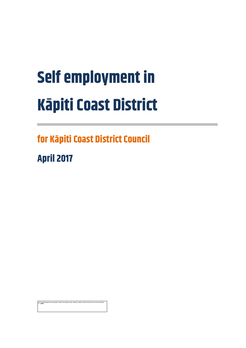# **Self employment in Kāpiti Coast District**

**for Kāpiti Coast District Council**

**April 2017**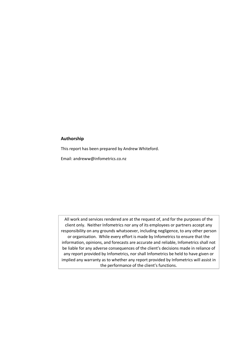#### **Authorship**

This report has been prepared by Andrew Whiteford.

Email: andreww@infometrics.co.nz

All work and services rendered are at the request of, and for the purposes of the client only. Neither Infometrics nor any of its employees or partners accept any responsibility on any grounds whatsoever, including negligence, to any other person or organisation. While every effort is made by Infometrics to ensure that the information, opinions, and forecasts are accurate and reliable, Infometrics shall not be liable for any adverse consequences of the client's decisions made in reliance of any report provided by Infometrics, nor shall Infometrics be held to have given or implied any warranty as to whether any report provided by Infometrics will assist in the performance of the client's functions.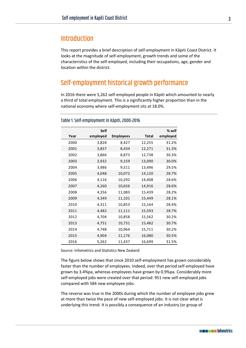## **Introduction**

This report provides a brief description of self-employment in Kāpiti Coast District. It looks at the magnitude of self-employment, growth trends and some of the characteristics of the self-employed, including their occupations, age, gender and location within the district.

## Self-employment historical growth performance

In 2016 there were 5,262 self-employed people in Kāpiti which amounted to nearly a third of total employment. This is a significantly higher proportion than in the national economy where self-employment sits at 18.0%.

|      | <b>Self</b> |                  |              | % self   |
|------|-------------|------------------|--------------|----------|
| Year | employed    | <b>Employees</b> | <b>Total</b> | employed |
| 2000 | 3,828       | 8,427            | 12,255       | 31.2%    |
| 2001 | 3,837       | 8,434            | 12,271       | 31.3%    |
| 2002 | 3,866       | 8,873            | 12,738       | 30.3%    |
| 2003 | 3,932       | 9,159            | 13,090       | 30.0%    |
| 2004 | 3,986       | 9,511            | 13,496       | 29.5%    |
| 2005 | 4,048       | 10,072           | 14,120       | 28.7%    |
| 2006 | 4,116       | 10,292           | 14,408       | 28.6%    |
| 2007 | 4,260       | 10,656           | 14,916       | 28.6%    |
| 2008 | 4,356       | 11,083           | 15,439       | 28.2%    |
| 2009 | 4,349       | 11,101           | 15,449       | 28.1%    |
| 2010 | 4,311       | 10,853           | 15,164       | 28.4%    |
| 2011 | 4,482       | 11,111           | 15,593       | 28.7%    |
| 2012 | 4,704       | 10,858           | 15,562       | 30.2%    |
| 2013 | 4,751       | 10,731           | 15,482       | 30.7%    |
| 2014 | 4,748       | 10,964           | 15,711       | 30.2%    |
| 2015 | 4,904       | 11,176           | 16,080       | 30.5%    |
| 2016 | 5,262       | 11,437           | 16,699       | 31.5%    |

#### Table 1. Self-employment in Kāpiti, 2000-2016

Source: Infometrics and Statistics New Zealand

The figure below shows that since 2010 self-employment has grown considerably faster than the number of employees. Indeed, over that period self-employed have grown by 3.4%pa, whereas employees have grown by 0.9%pa. Considerably more self-employed jobs were created over that period: 951 new self-employed jobs compared with 584 new employee jobs.

The reverse was true in the 2000s during which the number of employee jobs grew at more than twice the pace of new self-employed jobs. It is not clear what is underlying this trend. It is possibly a consequence of an industry (or group of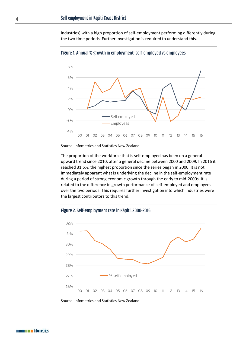industries) with a high proportion of self-employment performing differently during the two time periods. Further investigation is required to understand this.



Figure 1. Annual % growth in employment: self-employed vs employees

Source: Infometrics and Statistics New Zealand

The proportion of the workforce that is self-employed has been on a general upward trend since 2010, after a general decline between 2000 and 2009. In 2016 it reached 31.5%, the highest proportion since the series began in 2000. It is not immediately apparent what is underlying the decline in the self-employment rate during a period of strong economic growth through the early to mid-2000s. It is related to the difference in growth performance of self-employed and employees over the two periods. This requires further investigation into which industries were the largest contributors to this trend.



Figure 2. Self-employment rate in Kāpiti, 2000-2016

Source: Infometrics and Statistics New Zealand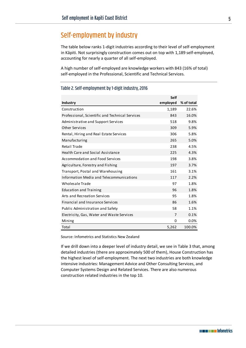## Self-employment by industry

The table below ranks 1-digit industries according to their level of self-employment in Kāpiti. Not surprisingly construction comes out on top with 1,189 self-employed, accounting for nearly a quarter of all self-employed.

A high number of self-employed are knowledge workers with 843 (16% of total) self-employed in the Professional, Scientific and Technical Services.

|                                                 | <b>Self</b> |            |
|-------------------------------------------------|-------------|------------|
| <b>Industry</b>                                 | employed    | % of total |
| Construction                                    | 1,189       | 22.6%      |
| Professional, Scientific and Technical Services | 843         | 16.0%      |
| Administrative and Support Services             | 518         | 9.8%       |
| <b>Other Services</b>                           | 309         | 5.9%       |
| Rental, Hiring and Real Estate Services         | 306         | 5.8%       |
| Manufacturing                                   | 265         | 5.0%       |
| Retail Trade                                    | 238         | 4.5%       |
| <b>Health Care and Social Assistance</b>        | 225         | 4.3%       |
| Accommodation and Food Services                 | 198         | 3.8%       |
| Agriculture, Forestry and Fishing               | 197         | 3.7%       |
| Transport, Postal and Warehousing               | 161         | 3.1%       |
| Information Media and Telecommunications        | 117         | 2.2%       |
| Wholesale Trade                                 | 97          | 1.8%       |
| <b>Education and Training</b>                   | 96          | 1.8%       |
| Arts and Recreation Services                    | 95          | 1.8%       |
| <b>Financial and Insurance Services</b>         | 86          | 1.6%       |
| Public Administration and Safety                | 58          | 1.1%       |
| Electricity, Gas, Water and Waste Services      | 7           | 0.1%       |
| Mining                                          | 0           | 0.0%       |
| Total                                           | 5,262       | 100.0%     |

#### Table 2. Self-employment by 1-digit industry, 2016

Source: Infometrics and Statistics New Zealand

If we drill down into a deeper level of industry detail, we see i[n Table 3](#page-5-0) that, among detailed industries (there are approximately 500 of them), House Construction has the highest level of self-employment. The next two industries are both knowledge intensive industries: Management Advice and Other Consulting Services, and Computer Systems Design and Related Services. There are also numerous construction related industries in the top 10.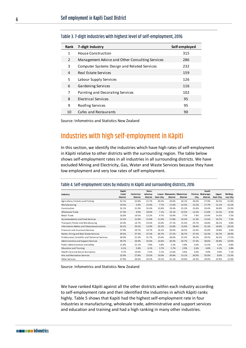| Rank | 7-digit Industry                                | Self-employed |
|------|-------------------------------------------------|---------------|
| 1    | House Construction                              | 315           |
| 2    | Management Advice and Other Consulting Services | 286           |
| 3    | Computer Systems Design and Related Services    | 232           |
| 4    | Real Estate Services                            | 159           |
| 5    | Labour Supply Services                          | 126           |
| 6    | Gardening Services                              | 116           |
| 7    | Painting and Decorating Services                | 102           |
| 8    | Electrical Services                             | 95            |
| 9    | Roofing Services                                | 95            |
| 10   | Cafes and Restaurants                           | 90            |
|      |                                                 |               |

#### <span id="page-5-0"></span>Table 3. 7-digit industries with highest level of self-employment, 2016

Source: Infometrics and Statistics New Zealand

## Industries with high self-employment in Kāpiti

In this section, we identify the industries which have high rates of self-employment in Kāpiti relative to other districts with the surrounding region. The table below shows self-employment rates in all industries in all surrounding districts. We have excluded Mining and Electricity, Gas, Water and Waste Services because they have low employment and very low rates of self-employment.

#### Table 4. Self-employment rates by industry in Kāpiti and surrounding districts, 2016

|                                                 | Kapiti                   |                              | Horo-                     |                  |                 |                                             |       | South                                |                           |                      |
|-------------------------------------------------|--------------------------|------------------------------|---------------------------|------------------|-----------------|---------------------------------------------|-------|--------------------------------------|---------------------------|----------------------|
| Industry                                        | Coast<br><b>District</b> | Carterton<br><b>District</b> | whenua<br><b>District</b> | <b>Hutt City</b> | <b>District</b> | Lower Manawatu Masterton<br><b>District</b> | City  | Porirua Wairarapa<br><b>District</b> | Upper<br><b>Hutt City</b> | Welling-<br>ton City |
| Agriculture, Forestry and Fishing               | 32.1%                    | 22.8%                        | 21.7%                     | 40.2%            | 29.6%           | 26.1%                                       | 36.6% | 27.9%                                | 36.5%                     | 41.8%                |
| Manufacturing                                   | 19.5%                    | 5.0%                         | 12.4%                     | 7.7%             | 11.0%           | 14.5%                                       | 12.2% | 17.7%                                | 12.1%                     | 12.2%                |
| Construction                                    | 32.1%                    | 31.9%                        | 32.4%                     | 22.8%            | 33.4%           | 25.2%                                       | 23.6% | 33.4%                                | 30.8%                     | 25.9%                |
| Wholesale Trade                                 | 27.3%                    | 9.0%                         | 18.9%                     | 7.1%             | 19.1%           | 14.5%                                       | 12.5% | 21.8%                                | 14.1%                     | 9.2%                 |
| Retail Trade                                    | 10.0%                    | 19.5%                        | 13.2%                     | 9.7%             | 16.9%           | 7.7%                                        | 7.4%  | 14.4%                                | 14.5%                     | 7.5%                 |
| Accommodation and Food Services                 | 13.1%                    | 15.9%                        | 15.9%                     | 11.0%            | 17.8%           | 10.3%                                       | 11.3% | 13.5%                                | 10.7%                     | 7.5%                 |
| Transport, Postal and Warehousing               | 24.4%                    | 14.7%                        | 23.4%                     | 14.0%            | 27.1%           | 15.4%                                       | 24.7% | 26.8%                                | 28.1%                     | 9.8%                 |
| Information Media and Telecommunications        | 30.1%                    | 39.5%                        | 12.9%                     | 20.2%            | 22.8%           | 13.0%                                       | 28.4% | 41.3%                                | 18.6%                     | 20.5%                |
| Financial and Insurance Services                | 27.9%                    | 29.7%                        | 14.7%                     | 16.1%            | 29.4%           | 18.5%                                       | 23.4% | 35.0%                                | 19.8%                     | 3.6%                 |
| Rental, Hiring and Real Estate Services         | 39.5%                    | 37.5%                        | 37.3%                     | 30.7%            | 37.2%           | 36.7%                                       | 37.5% | 42.3%                                | 36.7%                     | 28.9%                |
| Professional, Scientific and Technical Services | 36.9%                    | 31.4%                        | 31.7%                     | 23.6%            | 28.0%           | 22.5%                                       | 34.2% | 39.5%                                | 36.5%                     | 17.5%                |
| Administrative and Support Services             | 39.7%                    | 26.9%                        | 35.6%                     | 14.6%            | 30.4%           | 24.7%                                       | 27.5% | 38.6%                                | 30.8%                     | 10.9%                |
| Public Administration and Safety                | 11.8%                    | 21.1%                        | 7.8%                      | 3.8%             | 2.2%            | 5.8%                                        | 5.0%  | 15.5%                                | 1.3%                      | 0.8%                 |
| <b>Education and Training</b>                   | 6.1%                     | 5.8%                         | 4.1%                      | 3.7%             | 5.7%            | 2.9%                                        | 2.6%  | 4.8%                                 | 4.1%                      | 3.8%                 |
| Health Care and Social Assistance               | 9.7%                     | 10.0%                        | 5.5%                      | 5.1%             | 12.6%           | 4.6%                                        | 5.6%  | 9.9%                                 | 9.0%                      | 7.1%                 |
| Arts and Recreation Services                    | 22.0%                    | 27.8%                        | 23.5%                     | 10.0%            | 20.8%           | 13.1%                                       | 20.0% | 35.0%                                | 8.0%                      | 13.3%                |
| Other Services                                  | 27.9%                    | 26.4%                        | 24.5%                     | 19.1%            | 31.1%           | 19.0%                                       | 24.3% | 29.0%                                | 24.9%                     | 12.9%                |

Source: Infometrics and Statistics New Zealand

We have ranked Kāpiti against all the other districts within each industry according to self-employment rate and then identified the industries in which Kāpiti ranks highly[. Table 5](#page-6-0) shows that Kapiti had the highest self-employment rate in four industries ie manufacturing, wholesale trade, administrative and support services and education and training and had a high ranking in many other industries.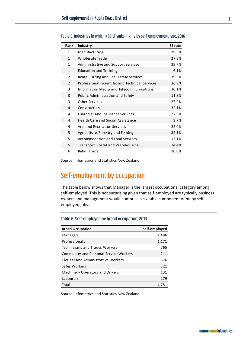| Rank           | Industry                                        | <b>SE rate</b> |
|----------------|-------------------------------------------------|----------------|
| $\mathbf{1}$   | Manufacturing                                   | 19.5%          |
| $\mathbf{1}$   | Wholesale Trade                                 | 27.3%          |
| 1              | Administrative and Support Services             | 39.7%          |
| $\mathbf{1}$   | <b>Education and Training</b>                   | 6.1%           |
| $\overline{2}$ | Rental, Hiring and Real Estate Services         | 39.5%          |
| $\overline{2}$ | Professional, Scientific and Technical Services | 36.9%          |
| 3              | Information Media and Telecommunications        | 30.1%          |
| 3              | Public Administration and Safety                | 11.8%          |
| 3              | <b>Other Services</b>                           | 27.9%          |
| 4              | Construction                                    | 32.1%          |
| 4              | Financial and Insurance Services                | 27.9%          |
| 4              | <b>Health Care and Social Assistance</b>        | 9.7%           |
| 4              | Arts and Recreation Services                    | 22.0%          |
| 5              | Agriculture, Forestry and Fishing               | 32.1%          |
| 5              | Accommodation and Food Services                 | 13.1%          |
| 5              | Transport, Postal and Warehousing               | 24.4%          |
| 6              | Retail Trade                                    | 10.0%          |

<span id="page-6-0"></span>Table 5. Industries in which Kāpiti ranks highly by self-employment rate, 2016

Source: Infometrics and Statistics New Zealand

# Self-employment by occupation

The table below shows that Manager is the largest occupational category among self-employed. This is not surprising given that self-employed are typically business owners and management would comprise a sizeable component of many selfemployed jobs.

| Table 6. Self-employed by broad occupation, 2013 |  |  |  |
|--------------------------------------------------|--|--|--|
|--------------------------------------------------|--|--|--|

| <b>Broad Occupation</b>                       | Self-employed |
|-----------------------------------------------|---------------|
| Managers                                      | 1,496         |
| Professionals                                 | 1,171         |
| Technicians and Trades Workers                | 765           |
| <b>Community and Personal Service Workers</b> | 211           |
| <b>Clerical and Administrative Workers</b>    | 376           |
| Sales Workers                                 | 321           |
| Machinery Operators and Drivers               | 131           |
| Labourers                                     | 279           |
| Total                                         | 4.751         |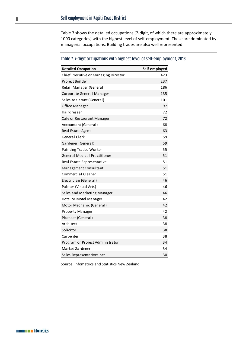[Table 7](#page-7-0) shows the detailed occupations (7-digit, of which there are approximately 1000 categories) with the highest level of self-employment. These are dominated by managerial occupations. Building trades are also well represented.

## <span id="page-7-0"></span>Table 7. 7-digit occupations with highest level of self-employment, 2013

| <b>Detailed Occupation</b>           | Self-employed |
|--------------------------------------|---------------|
| Chief Executive or Managing Director | 423           |
| Project Builder                      | 237           |
| Retail Manager (General)             | 186           |
| Corporate General Manager            | 135           |
| Sales Assistant (General)            | 101           |
| Office Manager                       | 97            |
| Hairdresser                          | 72            |
| Cafe or Restaurant Manager           | 72            |
| Accountant (General)                 | 68            |
| Real Estate Agent                    | 63            |
| General Clerk                        | 59            |
| Gardener (General)                   | 59            |
| Painting Trades Worker               | 55            |
| <b>General Medical Practitioner</b>  | 51            |
| Real Estate Representative           | 51            |
| Management Consultant                | 51            |
| Commercial Cleaner                   | 51            |
| Electrician (General)                | 46            |
| Painter (Visual Arts)                | 46            |
| Sales and Marketing Manager          | 46            |
| Hotel or Motel Manager               | 42            |
| Motor Mechanic (General)             | 42            |
| <b>Property Manager</b>              | 42            |
| Plumber (General)                    | 38            |
| Architect                            | 38            |
| Solicitor                            | 38            |
| Carpenter                            | 38            |
| Program or Project Administrator     | 34            |
| Market Gardener                      | 34            |
| Sales Representatives nec            | 30            |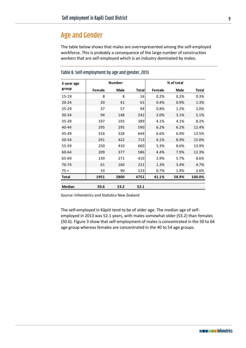## Age and Gender

The table below shows that males are overrepresented among the self-employed workforce. This is probably a consequence of the large number of construction workers that are self-employed which is an industry dominated by males.

| 5-year age    |        | <b>Number</b> |       |        | % of total  |              |
|---------------|--------|---------------|-------|--------|-------------|--------------|
| group         | Female | <b>Male</b>   | Total | Female | <b>Male</b> | <b>Total</b> |
| 15-19         | 8      | 8             | 16    | 0.2%   | 0.2%        | 0.3%         |
| $20 - 24$     | 20     | 41            | 61    | 0.4%   | 0.9%        | 1.3%         |
| $25 - 29$     | 37     | 57            | 94    | 0.8%   | 1.2%        | 2.0%         |
| 30-34         | 94     | 148           | 242   | 2.0%   | 3.1%        | 5.1%         |
| 35-39         | 197    | 193           | 389   | 4.1%   | 4.1%        | 8.2%         |
| $40 - 44$     | 295    | 295           | 590   | 6.2%   | 6.2%        | 12.4%        |
| 45-49         | 316    | 328           | 644   | 6.6%   | 6.9%        | 13.5%        |
| 50-54         | 291    | 422           | 713   | 6.1%   | 8.9%        | 15.0%        |
| 55-59         | 250    | 410           | 660   | 5.3%   | 8.6%        | 13.9%        |
| 60-64         | 209    | 377           | 586   | 4.4%   | 7.9%        | 12.3%        |
| 65-69         | 139    | 271           | 410   | 2.9%   | 5.7%        | 8.6%         |
| 70-74         | 61     | 160           | 221   | 1.3%   | 3.4%        | 4.7%         |
| $75+$         | 33     | 90            | 123   | 0.7%   | 1.9%        | 2.6%         |
| <b>Total</b>  | 1951   | 2800          | 4751  | 41.1%  | 58.9%       | 100.0%       |
| <b>Median</b> | 50.6   | 53.2          | 52.1  |        |             |              |

#### Table 8. Self-employment by age and gender, 2013

Source: Infometrics and Statistics New Zealand

The self-employed in Kāpiti tend to be of older age. The median age of selfemployed in 2013 was 52.1 years, with males somewhat older (53.2) than females (50.6). [Figure 3](#page-9-0) show that self-employment of males is concentrated in the 50 to 64 age group whereas females are concentrated in the 40 to 54 age groups.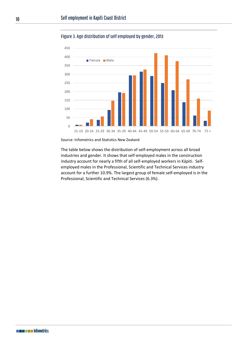

<span id="page-9-0"></span>Figure 3. Age distribution of self employed by gender, 2013

Source: Infometrics and Statistics New Zealand

The table below shows the distribution of self-employment across all broad industries and gender. It shows that self-employed males in the construction industry account for nearly a fifth of all self-employed workers in Kāpiti. Selfemployed males in the Professional, Scientific and Technical Services industry account for a further 10.9%. The largest group of female self-employed is in the Professional, Scientific and Technical Services (6.3%).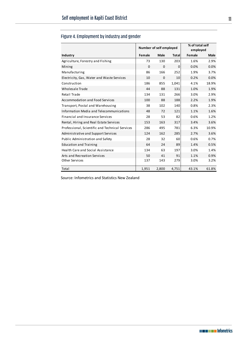|                                                 | Number of self employed |             | % of total self<br>employed |        |             |
|-------------------------------------------------|-------------------------|-------------|-----------------------------|--------|-------------|
| Industry                                        | Female                  | <b>Male</b> | Total                       | Female | <b>Male</b> |
| Agriculture, Forestry and Fishing               | 73                      | 130         | 203                         | 1.6%   | 2.9%        |
| Mining                                          | 0                       | $\Omega$    | $\mathbf 0$                 | 0.0%   | 0.0%        |
| Manufacturing                                   | 86                      | 166         | 252                         | 1.9%   | 3.7%        |
| Electricity, Gas, Water and Waste Services      | 10                      | $\mathbf 0$ | 10                          | 0.2%   | 0.0%        |
| Construction                                    | 186                     | 855         | 1,041                       | 4.1%   | 18.9%       |
| Wholesale Trade                                 | 44                      | 88          | 131                         | 1.0%   | 1.9%        |
| Retail Trade                                    | 134                     | 131         | 266                         | 3.0%   | 2.9%        |
| <b>Accommodation and Food Services</b>          | 100                     | 88          | 188                         | 2.2%   | 1.9%        |
| Transport, Postal and Warehousing               | 38                      | 102         | 140                         | 0.8%   | 2.3%        |
| Information Media and Telecommunications        | 48                      | 72          | 121                         | 1.1%   | 1.6%        |
| <b>Financial and Insurance Services</b>         | 28                      | 53          | 82                          | 0.6%   | 1.2%        |
| Rental, Hiring and Real Estate Services         | 153                     | 163         | 317                         | 3.4%   | 3.6%        |
| Professional, Scientific and Technical Services | 286                     | 495         | 781                         | 6.3%   | 10.9%       |
| Administrative and Support Services             | 124                     | 162         | 285                         | 2.7%   | 3.6%        |
| Public Administration and Safety                | 28                      | 32          | 60                          | 0.6%   | 0.7%        |
| <b>Education and Training</b>                   | 64                      | 24          | 89                          | 1.4%   | 0.5%        |
| <b>Health Care and Social Assistance</b>        | 134                     | 63          | 197                         | 3.0%   | 1.4%        |
| Arts and Recreation Services                    | 50                      | 41          | 91                          | 1.1%   | 0.9%        |
| <b>Other Services</b>                           | 137                     | 143         | 279                         | 3.0%   | 3.2%        |
| Total                                           | 1,951                   | 2,800       | 4,751                       | 43.1%  | 61.8%       |

## Figure 4. Employment by industry and gender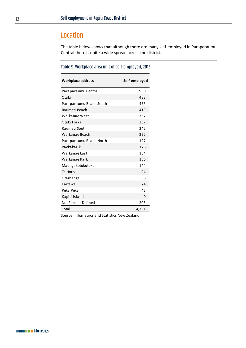# Location

The table below shows that although there are many self-employed in Paraparaumu Central there is quite a wide spread across the district.

### Table 9. Workplace area unit of self-employed, 2013

| Workplace address       | Self-employed |
|-------------------------|---------------|
| Paraparaumu Central     | 960           |
| Otaki                   | 488           |
| Paraparaumu Beach South | 455           |
| Raumati Beach           | 419           |
| Waikanae West           | 357           |
| Otaki Forks             | 267           |
| Raumati South           | 242           |
| Waikanae Beach          | 222           |
| Paraparaumu Beach North | 197           |
| Paekakariki             | 176           |
| Waikanae East           | 164           |
| Waikanae Park           | 156           |
| Maungakotukutuku        | 144           |
| Te Horo                 | 94            |
| Otaihanga               | 86            |
| Kaitawa                 | 74            |
| Peka Peka               | 45            |
| Kapiti Island           | 0             |
| Not Further Defined     | 205           |
| Total                   | 4,751         |